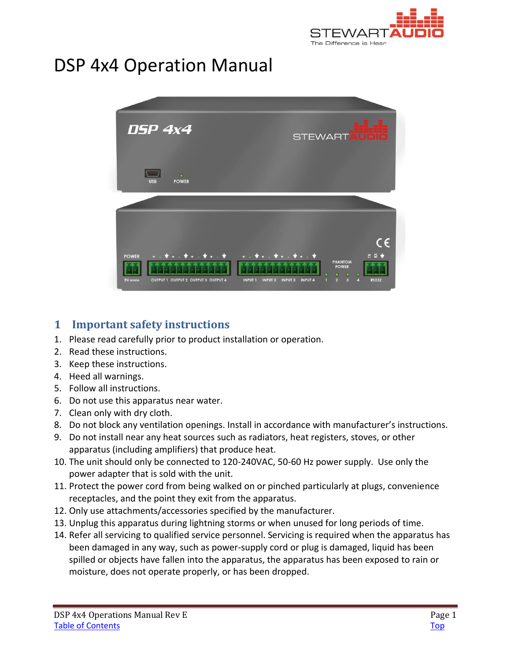

# <span id="page-0-0"></span>DSP 4x4 Operation Manual



# <span id="page-0-1"></span>**1 Important safety instructions**

- 1. Please read carefully prior to product installation or operation.
- 2. Read these instructions.
- 3. Keep these instructions.
- 4. Heed all warnings.
- 5. Follow all instructions.
- 6. Do not use this apparatus near water.
- 7. Clean only with dry cloth.
- 8. Do not block any ventilation openings. Install in accordance with manufacturer's instructions.
- 9. Do not install near any heat sources such as radiators, heat registers, stoves, or other apparatus (including amplifiers) that produce heat.
- 10. The unit should only be connected to 120-240VAC, 50-60 Hz power supply. Use only the power adapter that is sold with the unit.
- 11. Protect the power cord from being walked on or pinched particularly at plugs, convenience receptacles, and the point they exit from the apparatus.
- 12. Only use attachments/accessories specified by the manufacturer.
- 13. Unplug this apparatus during lightning storms or when unused for long periods of time.
- 14. Refer all servicing to qualified service personnel. Servicing is required when the apparatus has been damaged in any way, such as power-supply cord or plug is damaged, liquid has been spilled or objects have fallen into the apparatus, the apparatus has been exposed to rain or moisture, does not operate properly, or has been dropped.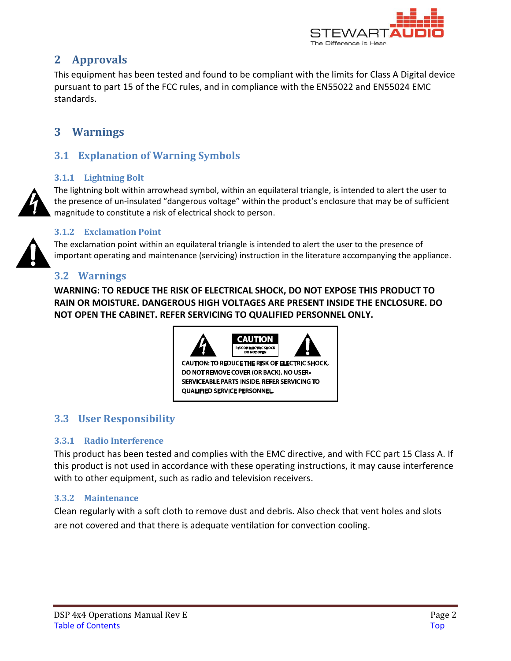

# <span id="page-1-0"></span>**2 Approvals**

This equipment has been tested and found to be compliant with the limits for Class A Digital device pursuant to part 15 of the FCC rules, and in compliance with the EN55022 and EN55024 EMC standards.

# <span id="page-1-1"></span>**3 Warnings**

# <span id="page-1-2"></span>**3.1 Explanation of Warning Symbols**

#### <span id="page-1-3"></span>**3.1.1 Lightning Bolt**

The lightning bolt within arrowhead symbol, within an equilateral triangle, is intended to alert the user to the presence of un-insulated "dangerous voltage" within the product's enclosure that may be of sufficient magnitude to constitute a risk of electrical shock to person.

#### <span id="page-1-4"></span>**3.1.2 Exclamation Point**

The exclamation point within an equilateral triangle is intended to alert the user to the presence of important operating and maintenance (servicing) instruction in the literature accompanying the appliance.

# <span id="page-1-5"></span>**3.2 Warnings**

**WARNING: TO REDUCE THE RISK OF ELECTRICAL SHOCK, DO NOT EXPOSE THIS PRODUCT TO RAIN OR MOISTURE. DANGEROUS HIGH VOLTAGES ARE PRESENT INSIDE THE ENCLOSURE. DO NOT OPEN THE CABINET. REFER SERVICING TO QUALIFIED PERSONNEL ONLY.**



# <span id="page-1-6"></span>**3.3 User Responsibility**

### <span id="page-1-7"></span>**3.3.1 Radio Interference**

This product has been tested and complies with the EMC directive, and with FCC part 15 Class A. If this product is not used in accordance with these operating instructions, it may cause interference with to other equipment, such as radio and television receivers.

### <span id="page-1-8"></span>**3.3.2 Maintenance**

Clean regularly with a soft cloth to remove dust and debris. Also check that vent holes and slots are not covered and that there is adequate ventilation for convection cooling.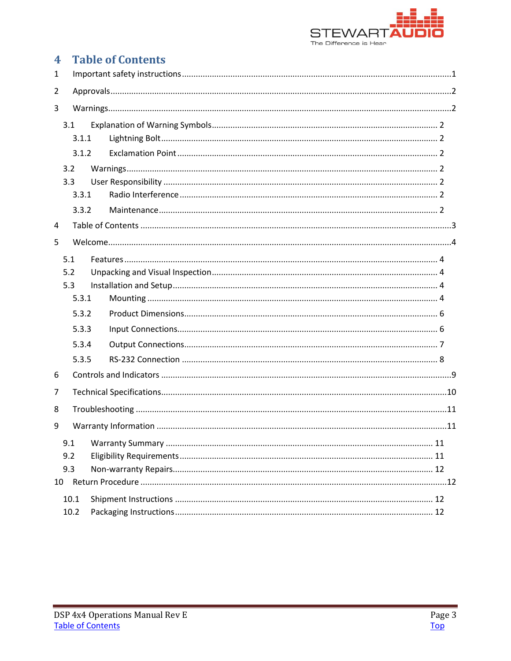

#### <span id="page-2-0"></span>**Table of Contents**  $\overline{\mathbf{4}}$  $\mathbf{1}$  $\overline{2}$  $\overline{3}$  $3.1$

|   |                | 3.1.1 |  |  |  |  |
|---|----------------|-------|--|--|--|--|
|   |                | 3.1.2 |  |  |  |  |
|   | 3.2            |       |  |  |  |  |
|   | 3.3            |       |  |  |  |  |
|   |                | 3.3.1 |  |  |  |  |
|   |                | 3.3.2 |  |  |  |  |
| 4 |                |       |  |  |  |  |
| 5 |                |       |  |  |  |  |
|   | 5.1            |       |  |  |  |  |
|   | 5.2            |       |  |  |  |  |
|   | 5.3            |       |  |  |  |  |
|   |                | 5.3.1 |  |  |  |  |
|   | 5.3.2<br>5.3.3 |       |  |  |  |  |
|   |                |       |  |  |  |  |
|   |                | 5.3.4 |  |  |  |  |
|   |                | 5.3.5 |  |  |  |  |
| 6 |                |       |  |  |  |  |
| 7 |                |       |  |  |  |  |
| 8 |                |       |  |  |  |  |
| 9 |                |       |  |  |  |  |
|   | 9.1            |       |  |  |  |  |
|   | 9.2            |       |  |  |  |  |
|   | 9.3            |       |  |  |  |  |
|   |                |       |  |  |  |  |
|   | 10.1           |       |  |  |  |  |
|   | 10.2           |       |  |  |  |  |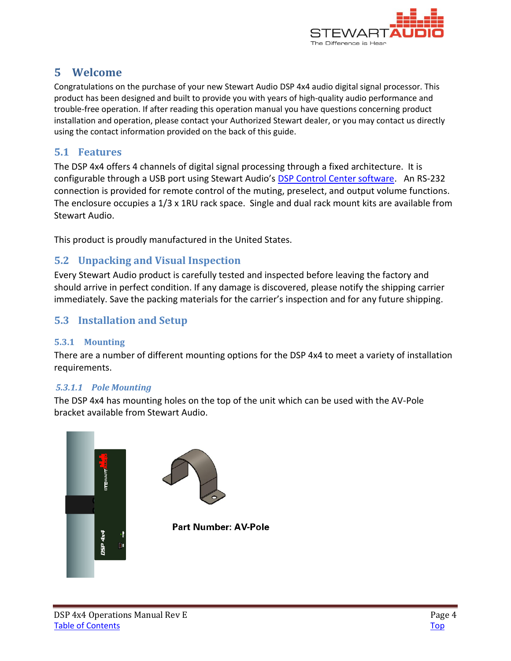

# <span id="page-3-0"></span>**5 Welcome**

Congratulations on the purchase of your new Stewart Audio DSP 4x4 audio digital signal processor. This product has been designed and built to provide you with years of high-quality audio performance and trouble-free operation. If after reading this operation manual you have questions concerning product installation and operation, please contact your Authorized Stewart dealer, or you may contact us directly using the contact information provided on the back of this guide.

### <span id="page-3-1"></span>**5.1 Features**

The DSP 4x4 offers 4 channels of digital signal processing through a fixed architecture. It is configurable through a USB port using Stewart Audio's **DSP Control Center software**. An RS-232 connection is provided for remote control of the muting, preselect, and output volume functions. The enclosure occupies a 1/3 x 1RU rack space. Single and dual rack mount kits are available from Stewart Audio.

This product is proudly manufactured in the United States.

# <span id="page-3-2"></span>**5.2 Unpacking and Visual Inspection**

Every Stewart Audio product is carefully tested and inspected before leaving the factory and should arrive in perfect condition. If any damage is discovered, please notify the shipping carrier immediately. Save the packing materials for the carrier's inspection and for any future shipping.

# <span id="page-3-3"></span>**5.3 Installation and Setup**

### <span id="page-3-4"></span>**5.3.1 Mounting**

There are a number of different mounting options for the DSP 4x4 to meet a variety of installation requirements.

#### *5.3.1.1 Pole Mounting*

The DSP 4x4 has mounting holes on the top of the unit which can be used with the AV-Pole bracket available from Stewart Audio.

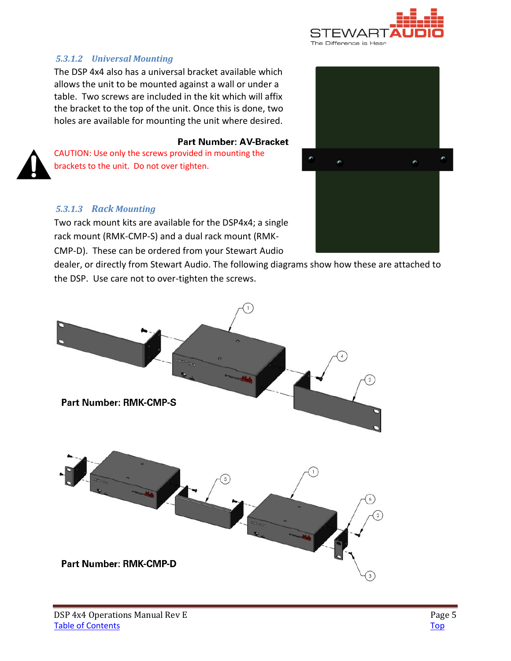

### *5.3.1.2 Universal Mounting*

The DSP 4x4 also has a universal bracket available which allows the unit to be mounted against a wall or under a table. Two screws are included in the kit which will affix the bracket to the top of the unit. Once this is done, two holes are available for mounting the unit where desired.

#### **Part Number: AV-Bracket**

CAUTION: Use only the screws provided in mounting the brackets to the unit. Do not over tighten.

#### *5.3.1.3 Rack Mounting*

Two rack mount kits are available for the DSP4x4; a single rack mount (RMK-CMP-S) and a dual rack mount (RMK-CMP-D). These can be ordered from your Stewart Audio

dealer, or directly from Stewart Audio. The following diagrams show how these are attached to the DSP. Use care not to over-tighten the screws.



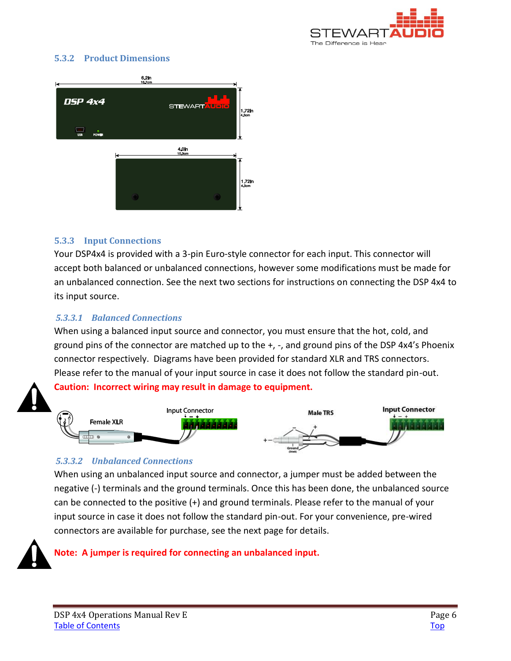

#### <span id="page-5-0"></span>**5.3.2 Product Dimensions**



#### <span id="page-5-1"></span>**5.3.3 Input Connections**

Your DSP4x4 is provided with a 3-pin Euro-style connector for each input. This connector will accept both balanced or unbalanced connections, however some modifications must be made for an unbalanced connection. See the next two sections for instructions on connecting the DSP 4x4 to its input source.

#### *5.3.3.1 Balanced Connections*

When using a balanced input source and connector, you must ensure that the hot, cold, and ground pins of the connector are matched up to the +, -, and ground pins of the DSP 4x4's Phoenix connector respectively. Diagrams have been provided for standard XLR and TRS connectors. Please refer to the manual of your input source in case it does not follow the standard pin-out.

**Caution: Incorrect wiring may result in damage to equipment.** 



#### *5.3.3.2 Unbalanced Connections*

When using an unbalanced input source and connector, a jumper must be added between the negative (-) terminals and the ground terminals. Once this has been done, the unbalanced source can be connected to the positive (+) and ground terminals. Please refer to the manual of your input source in case it does not follow the standard pin-out. For your convenience, pre-wired connectors are available for purchase, see the next page for details.

#### **Note: A jumper is required for connecting an unbalanced input.**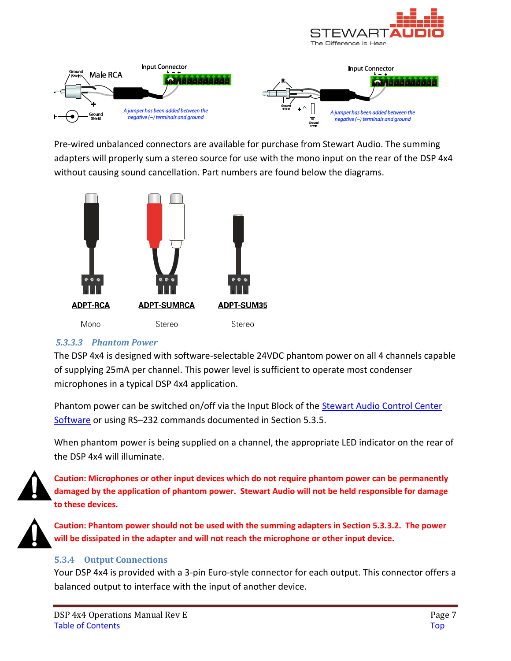



Pre-wired unbalanced connectors are available for purchase from Stewart Audio. The summing adapters will properly sum a stereo source for use with the mono input on the rear of the DSP 4x4 without causing sound cancellation. Part numbers are found below the diagrams.



#### *5.3.3.3 Phantom Power*

The DSP 4x4 is designed with software-selectable 24VDC phantom power on all 4 channels capable of supplying 25mA per channel. This power level is sufficient to operate most condenser microphones in a typical DSP 4x4 application.

Phantom power can be switched on/off via the Input Block of the **Stewart Audio Control Center** [Software](http://www.stewartaudio.com/DSPCC) or using RS–232 commands documented in Section 5.3.5.

When phantom power is being supplied on a channel, the appropriate LED indicator on the rear of the DSP 4x4 will illuminate.



**Caution: Microphones or other input devices which do not require phantom power can be permanently damaged by the application of phantom power. Stewart Audio will not be held responsible for damage to these devices.** 



**Caution: Phantom power should not be used with the summing adapters in Section 5.3.3.2. The power will be dissipated in the adapter and will not reach the microphone or other input device.**

#### <span id="page-6-0"></span>**5.3.4 Output Connections**

Your DSP 4x4 is provided with a 3-pin Euro-style connector for each output. This connector offers a balanced output to interface with the input of another device.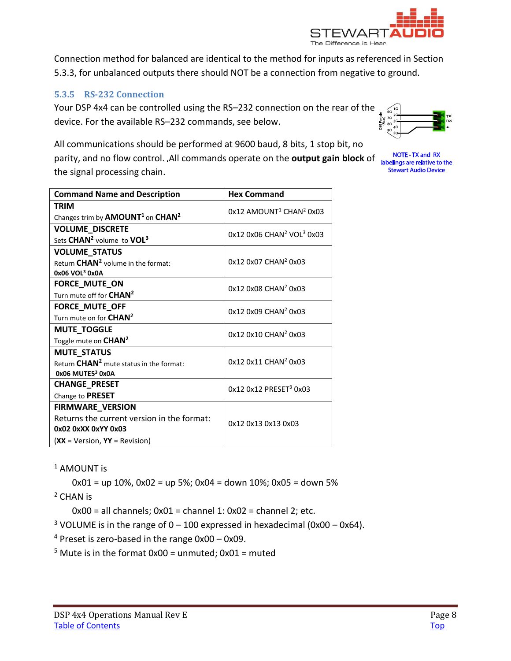

Connection method for balanced are identical to the method for inputs as referenced in Section 5.3.3, for unbalanced outputs there should NOT be a connection from negative to ground.

### <span id="page-7-0"></span>**5.3.5 RS-232 Connection**

Your DSP 4x4 can be controlled using the RS–232 connection on the rear of the device. For the available RS–232 commands, see below.



**NOTE - TX and RX** 

**Stewart Audio Device** 

All communications should be performed at 9600 baud, 8 bits, 1 stop bit, no parity, and no flow control. All commands operate on the **output gain block** of labelings are relative to the the signal processing chain.

| <b>Command Name and Description</b>                 | <b>Hex Command</b>                                  |  |
|-----------------------------------------------------|-----------------------------------------------------|--|
| <b>TRIM</b>                                         | $0x12$ AMOUNT <sup>1</sup> CHAN <sup>2</sup> $0x03$ |  |
| Changes trim by $AMOUNT1$ on CHAN <sup>2</sup>      |                                                     |  |
| <b>VOLUME_DISCRETE</b>                              | 0x12 0x06 CHAN <sup>2</sup> VOL <sup>3</sup> 0x03   |  |
| Sets CHAN <sup>2</sup> volume to VOL <sup>3</sup>   |                                                     |  |
| <b>VOLUME_STATUS</b>                                | 0x12 0x07 CHAN <sup>2</sup> 0x03                    |  |
| Return CHAN <sup>2</sup> volume in the format:      |                                                     |  |
| 0x06 VOL <sup>3</sup> 0x0A                          |                                                     |  |
| FORCE_MUTE_ON                                       | 0x12 0x08 CHAN <sup>2</sup> 0x03                    |  |
| Turn mute off for CHAN <sup>2</sup>                 |                                                     |  |
| FORCE_MUTE_OFF                                      | 0x12 0x09 CHAN <sup>2</sup> 0x03                    |  |
| Turn mute on for CHAN <sup>2</sup>                  |                                                     |  |
| <b>MUTE_TOGGLE</b>                                  | 0x12 0x10 CHAN <sup>2</sup> 0x03                    |  |
| Toggle mute on CHAN <sup>2</sup>                    |                                                     |  |
| <b>MUTE_STATUS</b>                                  | 0x120x11CHAN <sup>2</sup> 0x03                      |  |
| Return CHAN <sup>2</sup> mute status in the format: |                                                     |  |
| 0x06 MUTE53 0x0A                                    |                                                     |  |
| <b>CHANGE_PRESET</b>                                | 0x12 0x12 PRESET <sup>3</sup> 0x03                  |  |
| Change to PRESET                                    |                                                     |  |
| FIRMWARE_VERSION                                    | 0x12 0x13 0x13 0x03                                 |  |
| Returns the current version in the format:          |                                                     |  |
| 0x02 0xXX 0xYY 0x03                                 |                                                     |  |
| $(XX = Version, YY = Revision)$                     |                                                     |  |

<sup>1</sup> AMOUNT is

 $0x01 =$  up 10%,  $0x02 =$  up 5%;  $0x04 =$  down 10%;  $0x05 =$  down 5%

2 CHAN is

 $0x00 =$  all channels;  $0x01 =$ channel 1:  $0x02 =$ channel 2; etc.

<sup>3</sup> VOLUME is in the range of  $0 - 100$  expressed in hexadecimal (0x00 - 0x64).

4 Preset is zero-based in the range 0x00 – 0x09.

 $5$  Mute is in the format 0x00 = unmuted; 0x01 = muted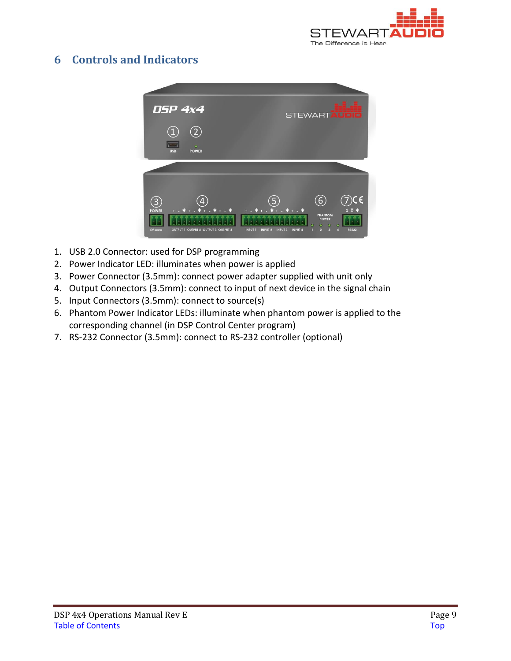

# <span id="page-8-0"></span>**6 Controls and Indicators**



- 1. USB 2.0 Connector: used for DSP programming
- 2. Power Indicator LED: illuminates when power is applied
- 3. Power Connector (3.5mm): connect power adapter supplied with unit only
- 4. Output Connectors (3.5mm): connect to input of next device in the signal chain
- 5. Input Connectors (3.5mm): connect to source(s)
- 6. Phantom Power Indicator LEDs: illuminate when phantom power is applied to the corresponding channel (in DSP Control Center program)
- 7. RS-232 Connector (3.5mm): connect to RS-232 controller (optional)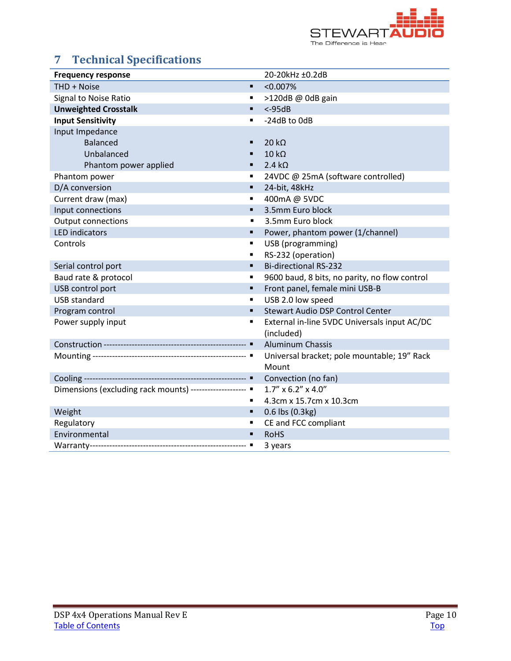

# <span id="page-9-0"></span>**7 Technical Specifications**

| <b>Frequency response</b>                                 | 20-20kHz ±0.2dB                               |  |
|-----------------------------------------------------------|-----------------------------------------------|--|
| THD + Noise<br>٠                                          | $< 0.007\%$                                   |  |
| Signal to Noise Ratio<br>٠                                | >120dB @ 0dB gain                             |  |
| <b>Unweighted Crosstalk</b><br>$\blacksquare$             | $< -95dB$                                     |  |
| <b>Input Sensitivity</b><br>$\blacksquare$                | -24dB to OdB                                  |  |
| Input Impedance                                           |                                               |  |
| <b>Balanced</b>                                           | $20 k\Omega$                                  |  |
| Unbalanced                                                | $10 k\Omega$                                  |  |
| Phantom power applied<br>٠                                | $2.4 k\Omega$                                 |  |
| Phantom power<br>٠                                        | 24VDC @ 25mA (software controlled)            |  |
| D/A conversion<br>٠                                       | 24-bit, 48kHz                                 |  |
| Current draw (max)<br>٠                                   | 400mA @ 5VDC                                  |  |
| Input connections<br>$\blacksquare$                       | 3.5mm Euro block                              |  |
| <b>Output connections</b>                                 | 3.5mm Euro block<br>$\blacksquare$            |  |
| <b>LED</b> indicators<br>٠                                | Power, phantom power (1/channel)              |  |
| Controls<br>٠                                             | USB (programming)                             |  |
| ٠                                                         | RS-232 (operation)                            |  |
| Serial control port<br>$\blacksquare$                     | <b>Bi-directional RS-232</b>                  |  |
| Baud rate & protocol<br>$\blacksquare$                    | 9600 baud, 8 bits, no parity, no flow control |  |
| USB control port<br>$\blacksquare$                        | Front panel, female mini USB-B                |  |
| <b>USB standard</b><br>٠                                  | USB 2.0 low speed                             |  |
| Program control<br>٠                                      | <b>Stewart Audio DSP Control Center</b>       |  |
| Power supply input<br>$\blacksquare$                      | External in-line 5VDC Universals input AC/DC  |  |
|                                                           | (included)                                    |  |
|                                                           | <b>Aluminum Chassis</b>                       |  |
|                                                           | Universal bracket; pole mountable; 19" Rack   |  |
|                                                           | Mount                                         |  |
|                                                           | Convection (no fan)                           |  |
| Dimensions (excluding rack mounts) -------------------- " | $1.7''$ x 6.2" x 4.0"                         |  |
| ٠                                                         | 4.3cm x 15.7cm x 10.3cm                       |  |
| Weight<br>٠                                               | 0.6 lbs (0.3kg)                               |  |
| Regulatory                                                | CE and FCC compliant                          |  |
| Environmental<br>$\blacksquare$                           | <b>RoHS</b>                                   |  |
|                                                           | 3 years                                       |  |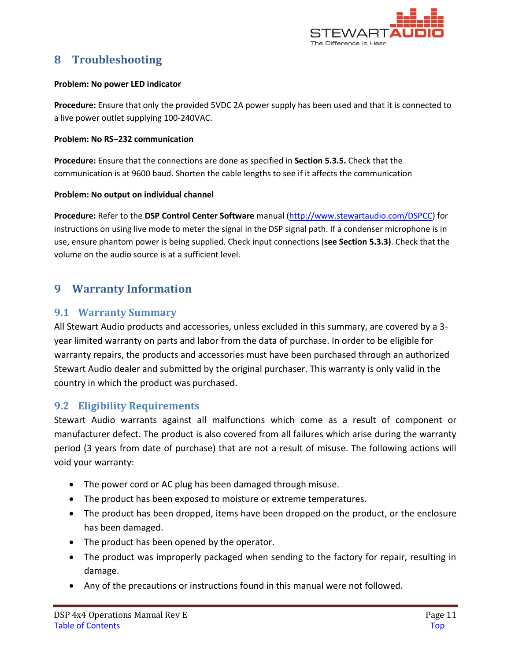

# <span id="page-10-0"></span>**8 Troubleshooting**

#### **Problem: No power LED indicator**

**Procedure:** Ensure that only the provided 5VDC 2A power supply has been used and that it is connected to a live power outlet supplying 100-240VAC.

#### **Problem: No RS**–**232 communication**

**Procedure:** Ensure that the connections are done as specified in **Section 5.3.5.** Check that the communication is at 9600 baud. Shorten the cable lengths to see if it affects the communication

#### **Problem: No output on individual channel**

**Procedure:** Refer to the **DSP Control Center Software** manual [\(http://www.stewartaudio.com/DSPCC\)](http://www.stewartaudio.com/DSPCC) for instructions on using live mode to meter the signal in the DSP signal path. If a condenser microphone is in use, ensure phantom power is being supplied. Check input connections (**see Section 5.3.3)**. Check that the volume on the audio source is at a sufficient level.

# <span id="page-10-1"></span>**9 Warranty Information**

### <span id="page-10-2"></span>**9.1 Warranty Summary**

All Stewart Audio products and accessories, unless excluded in this summary, are covered by a 3 year limited warranty on parts and labor from the data of purchase. In order to be eligible for warranty repairs, the products and accessories must have been purchased through an authorized Stewart Audio dealer and submitted by the original purchaser. This warranty is only valid in the country in which the product was purchased.

# <span id="page-10-3"></span>**9.2 Eligibility Requirements**

Stewart Audio warrants against all malfunctions which come as a result of component or manufacturer defect. The product is also covered from all failures which arise during the warranty period (3 years from date of purchase) that are not a result of misuse. The following actions will void your warranty:

- The power cord or AC plug has been damaged through misuse.
- The product has been exposed to moisture or extreme temperatures.
- The product has been dropped, items have been dropped on the product, or the enclosure has been damaged.
- The product has been opened by the operator.
- The product was improperly packaged when sending to the factory for repair, resulting in damage.
- Any of the precautions or instructions found in this manual were not followed.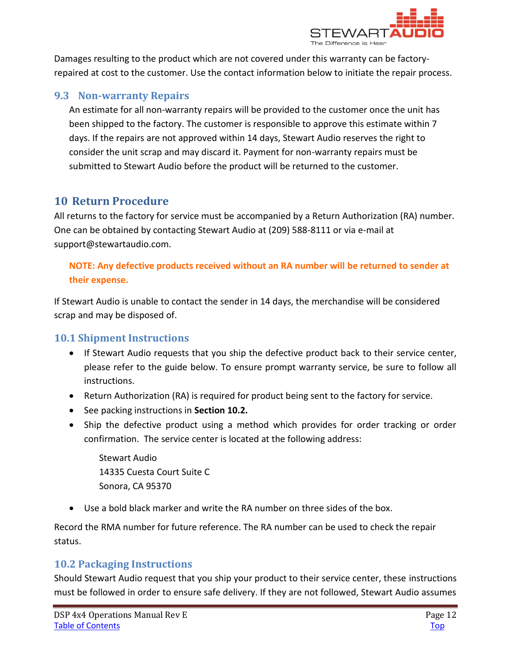

Damages resulting to the product which are not covered under this warranty can be factoryrepaired at cost to the customer. Use the contact information below to initiate the repair process.

# <span id="page-11-0"></span>**9.3 Non-warranty Repairs**

An estimate for all non-warranty repairs will be provided to the customer once the unit has been shipped to the factory. The customer is responsible to approve this estimate within 7 days. If the repairs are not approved within 14 days, Stewart Audio reserves the right to consider the unit scrap and may discard it. Payment for non-warranty repairs must be submitted to Stewart Audio before the product will be returned to the customer.

# <span id="page-11-1"></span>**10 Return Procedure**

All returns to the factory for service must be accompanied by a Return Authorization (RA) number. One can be obtained by contacting Stewart Audio at (209) 588-8111 or via e-mail at support@stewartaudio.com.

### **NOTE: Any defective products received without an RA number will be returned to sender at their expense.**

If Stewart Audio is unable to contact the sender in 14 days, the merchandise will be considered scrap and may be disposed of.

# <span id="page-11-2"></span>**10.1 Shipment Instructions**

- If Stewart Audio requests that you ship the defective product back to their service center, please refer to the guide below. To ensure prompt warranty service, be sure to follow all instructions.
- Return Authorization (RA) is required for product being sent to the factory for service.
- See packing instructions in **Section 10.2.**
- Ship the defective product using a method which provides for order tracking or order confirmation. The service center is located at the following address:

Stewart Audio 14335 Cuesta Court Suite C Sonora, CA 95370

• Use a bold black marker and write the RA number on three sides of the box.

Record the RMA number for future reference. The RA number can be used to check the repair status.

# <span id="page-11-3"></span>**10.2 Packaging Instructions**

Should Stewart Audio request that you ship your product to their service center, these instructions must be followed in order to ensure safe delivery. If they are not followed, Stewart Audio assumes